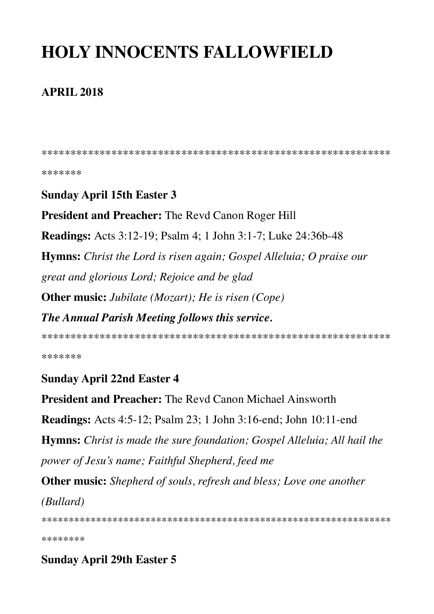# **HOLY INNOCENTS FALLOWFIELD**

#### **APRIL 2018**

\*\*\*\*\*\*\*

#### **Sunday April 15th Easter 3**

**President and Preacher:** The Revd Canon Roger Hill

**Readings:** Acts 3:12-19; Psalm 4; 1 John 3:1-7; Luke 24:36b-48

**Hymns:** Christ the Lord is risen again; Gospel Alleluia; O praise our great and glorious Lord; Rejoice and be glad **Other music:** Jubilate (Mozart); He is risen (Cope)

The Annual Parish Meeting follows this service.

\*\*\*\*\*\*\*

#### **Sunday April 22nd Easter 4**

**President and Preacher:** The Revd Canon Michael Ainsworth

**Readings:** Acts 4:5-12; Psalm 23; 1 John 3:16-end; John 10:11-end

**Hymns:** Christ is made the sure foundation; Gospel Alleluia; All hail the power of Jesu's name; Faithful Shepherd, feed me

**Other music:** Shepherd of souls, refresh and bless; Love one another *(Bullard)* 

\*\*\*\*\*\*\*\*

#### **Sunday April 29th Easter 5**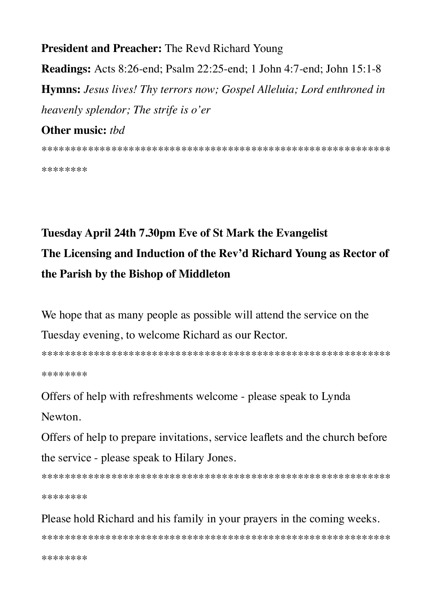**President and Preacher: The Revd Richard Young Readings:** Acts 8:26-end; Psalm 22:25-end; 1 John 4:7-end; John 15:1-8 **Hymns:** Jesus lives! Thy terrors now; Gospel Alleluia; Lord enthroned in heavenly splendor; The strife is o'er

#### Other music: thd

\*\*\*\*\*\*\*\*

## Tuesday April 24th 7.30pm Eve of St Mark the Evangelist The Licensing and Induction of the Rev'd Richard Young as Rector of the Parish by the Bishop of Middleton

We hope that as many people as possible will attend the service on the Tuesday evening, to welcome Richard as our Rector.

\*\*\*\*\*\*\*\*

Offers of help with refreshments welcome - please speak to Lynda

Newton.

Offers of help to prepare invitations, service leaflets and the church before the service - please speak to Hilary Jones.

\*\*\*\*\*\*\*\*

### Please hold Richard and his family in your prayers in the coming weeks.

\*\*\*\*\*\*\*\*